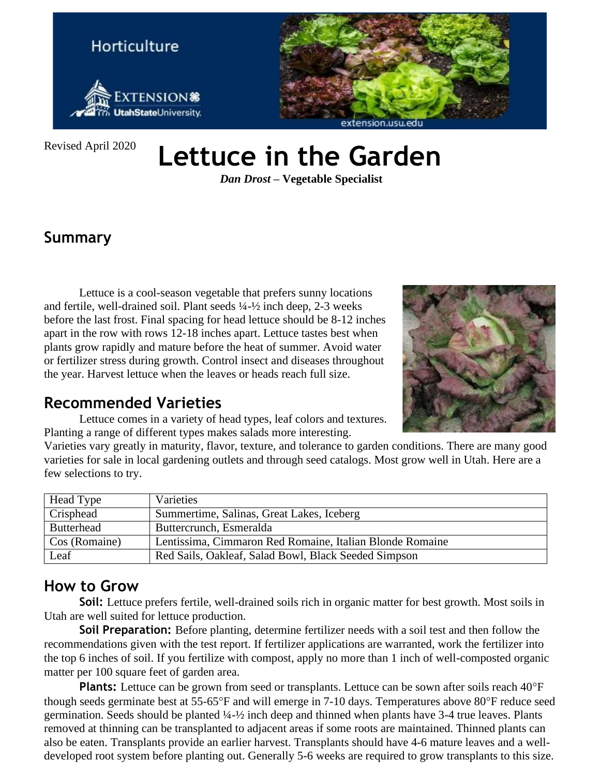

Revised April 2020

# **Lettuce in the Garden**

*Dan Drost –* **Vegetable Specialist**

## **Summary**

Lettuce is a cool-season vegetable that prefers sunny locations and fertile, well-drained soil. Plant seeds ¼-½ inch deep, 2-3 weeks before the last frost. Final spacing for head lettuce should be 8-12 inches apart in the row with rows 12-18 inches apart. Lettuce tastes best when plants grow rapidly and mature before the heat of summer. Avoid water or fertilizer stress during growth. Control insect and diseases throughout the year. Harvest lettuce when the leaves or heads reach full size.



#### **Recommended Varieties**

Lettuce comes in a variety of head types, leaf colors and textures. Planting a range of different types makes salads more interesting.

Varieties vary greatly in maturity, flavor, texture, and tolerance to garden conditions. There are many good varieties for sale in local gardening outlets and through seed catalogs. Most grow well in Utah. Here are a few selections to try.

| Head Type         | Varieties                                                |  |
|-------------------|----------------------------------------------------------|--|
| Crisphead         | Summertime, Salinas, Great Lakes, Iceberg                |  |
| <b>Butterhead</b> | Buttercrunch, Esmeralda                                  |  |
| Cos (Romaine)     | Lentissima, Cimmaron Red Romaine, Italian Blonde Romaine |  |
| Leaf              | Red Sails, Oakleaf, Salad Bowl, Black Seeded Simpson     |  |

#### **How to Grow**

**Soil:** Lettuce prefers fertile, well-drained soils rich in organic matter for best growth. Most soils in Utah are well suited for lettuce production.

**Soil Preparation:** Before planting, determine fertilizer needs with a soil test and then follow the recommendations given with the test report. If fertilizer applications are warranted, work the fertilizer into the top 6 inches of soil. If you fertilize with compost, apply no more than 1 inch of well-composted organic matter per 100 square feet of garden area.

**Plants:** Lettuce can be grown from seed or transplants. Lettuce can be sown after soils reach 40°F though seeds germinate best at 55-65°F and will emerge in 7-10 days. Temperatures above 80°F reduce seed germination. Seeds should be planted ¼-½ inch deep and thinned when plants have 3-4 true leaves. Plants removed at thinning can be transplanted to adjacent areas if some roots are maintained. Thinned plants can also be eaten. Transplants provide an earlier harvest. Transplants should have 4-6 mature leaves and a welldeveloped root system before planting out. Generally 5-6 weeks are required to grow transplants to this size.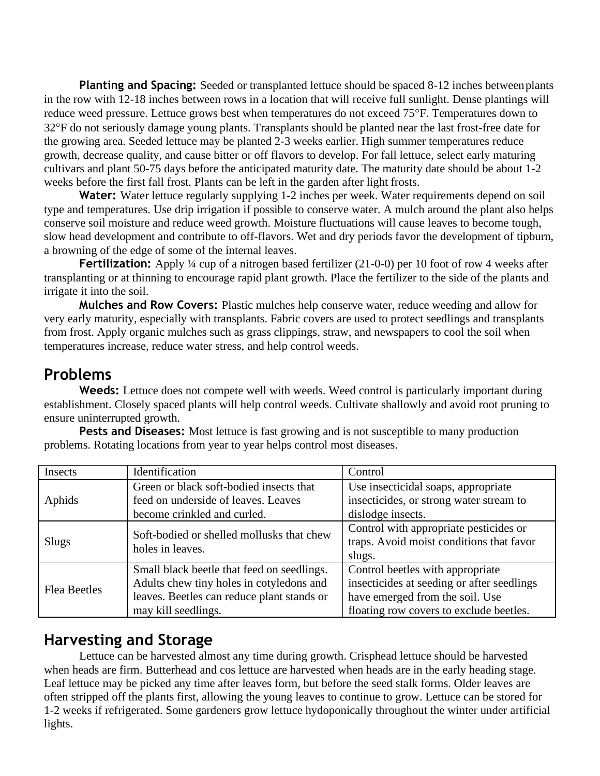**Planting and Spacing:** Seeded or transplanted lettuce should be spaced 8-12 inches betweenplants in the row with 12-18 inches between rows in a location that will receive full sunlight. Dense plantings will reduce weed pressure. Lettuce grows best when temperatures do not exceed 75°F. Temperatures down to 32F do not seriously damage young plants. Transplants should be planted near the last frost-free date for the growing area. Seeded lettuce may be planted 2-3 weeks earlier. High summer temperatures reduce growth, decrease quality, and cause bitter or off flavors to develop. For fall lettuce, select early maturing cultivars and plant 50-75 days before the anticipated maturity date. The maturity date should be about 1-2 weeks before the first fall frost. Plants can be left in the garden after light frosts.

Water: Water lettuce regularly supplying 1-2 inches per week. Water requirements depend on soil type and temperatures. Use drip irrigation if possible to conserve water. A mulch around the plant also helps conserve soil moisture and reduce weed growth. Moisture fluctuations will cause leaves to become tough, slow head development and contribute to off-flavors. Wet and dry periods favor the development of tipburn, a browning of the edge of some of the internal leaves.

**Fertilization:** Apply ¼ cup of a nitrogen based fertilizer (21-0-0) per 10 foot of row 4 weeks after transplanting or at thinning to encourage rapid plant growth. Place the fertilizer to the side of the plants and irrigate it into the soil.

**Mulches and Row Covers:** Plastic mulches help conserve water, reduce weeding and allow for very early maturity, especially with transplants. Fabric covers are used to protect seedlings and transplants from frost. Apply organic mulches such as grass clippings, straw, and newspapers to cool the soil when temperatures increase, reduce water stress, and help control weeds.

#### **Problems**

Weeds: Lettuce does not compete well with weeds. Weed control is particularly important during establishment. Closely spaced plants will help control weeds. Cultivate shallowly and avoid root pruning to ensure uninterrupted growth.

**Pests and Diseases:** Most lettuce is fast growing and is not susceptible to many production problems. Rotating locations from year to year helps control most diseases.

| Insects             | Identification                                                | Control                                    |
|---------------------|---------------------------------------------------------------|--------------------------------------------|
| Aphids              | Green or black soft-bodied insects that                       | Use insecticidal soaps, appropriate        |
|                     | feed on underside of leaves. Leaves                           | insecticides, or strong water stream to    |
|                     | become crinkled and curled.                                   | dislodge insects.                          |
| Slugs               | Soft-bodied or shelled mollusks that chew<br>holes in leaves. | Control with appropriate pesticides or     |
|                     |                                                               | traps. Avoid moist conditions that favor   |
|                     |                                                               | slugs.                                     |
| <b>Flea Beetles</b> | Small black beetle that feed on seedlings.                    | Control beetles with appropriate           |
|                     | Adults chew tiny holes in cotyledons and                      | insecticides at seeding or after seedlings |
|                     | leaves. Beetles can reduce plant stands or                    | have emerged from the soil. Use            |
|                     | may kill seedlings.                                           | floating row covers to exclude beetles.    |

#### **Harvesting and Storage**

Lettuce can be harvested almost any time during growth. Crisphead lettuce should be harvested when heads are firm. Butterhead and cos lettuce are harvested when heads are in the early heading stage. Leaf lettuce may be picked any time after leaves form, but before the seed stalk forms. Older leaves are often stripped off the plants first, allowing the young leaves to continue to grow. Lettuce can be stored for 1-2 weeks if refrigerated. Some gardeners grow lettuce hydoponically throughout the winter under artificial lights.